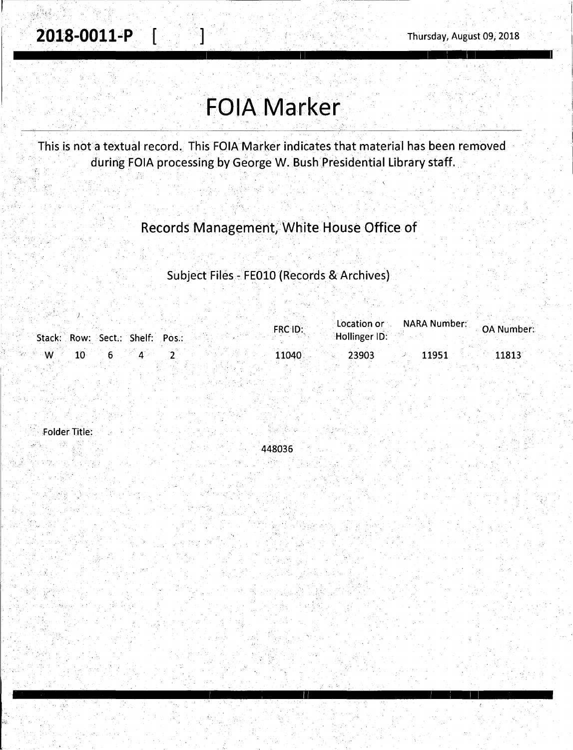2018-0011-P  $\begin{bmatrix} 1 & 1 & 1 \end{bmatrix}$  Thursday, August 09, 2018

· .. : ,; '.:, f -~· . ..

<sup>1</sup>11 I : I I

# · **FOIA Marker ..**

This is not a textual record. This FOIA Marker indicates that material has been removed during FOIA processing by George W. Bush Presidential Library staff.

### Records Management, White House Office of

. . Subject flies - FEOlO (Records & Archives)

|     |                                 |  | <b>FRC ID:</b> | Location or <b>contract</b> | <b>NARA Number:</b> | <b>OA Number:</b> |
|-----|---------------------------------|--|----------------|-----------------------------|---------------------|-------------------|
|     | Stack: Row: Sect.: Shelf: Pos.: |  |                | Hollinger ID:               |                     |                   |
| – W |                                 |  | 11040          | 23903                       | 11951               | 11813             |

Folder Title:

an K

448036

I , 11 I ; I I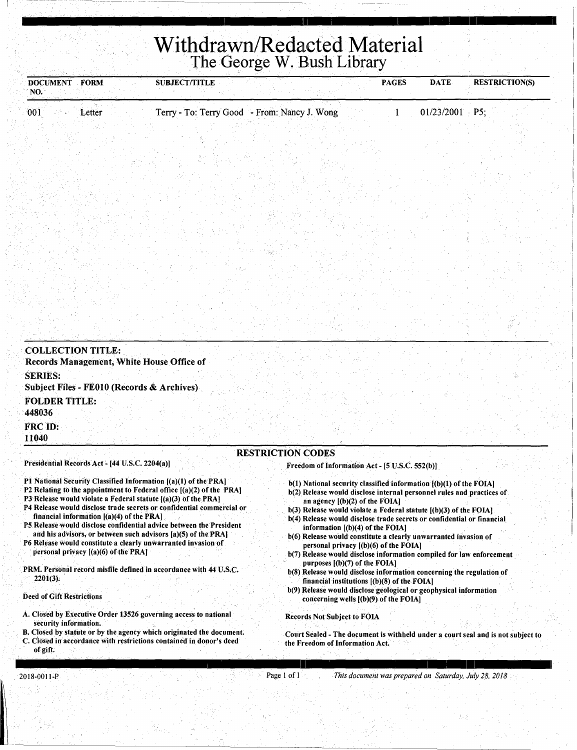## **Withdrawn/Redacted Material** The George W. Bush Library

| <b>DOCUMENT</b><br>NO.   | <b>FORM</b>                                    | <b>SUBJECT/TITLE</b>                                                                                                                                                                                       |                                                                                                                                                                               | <b>PAGES</b> | <b>DATE</b>      | <b>RESTRICTION(S)</b> |
|--------------------------|------------------------------------------------|------------------------------------------------------------------------------------------------------------------------------------------------------------------------------------------------------------|-------------------------------------------------------------------------------------------------------------------------------------------------------------------------------|--------------|------------------|-----------------------|
| 001                      | Letter                                         | Terry - To: Terry Good - From: Nancy J. Wong                                                                                                                                                               |                                                                                                                                                                               |              | $01/23/2001$ P5; |                       |
|                          |                                                |                                                                                                                                                                                                            |                                                                                                                                                                               |              |                  |                       |
|                          |                                                |                                                                                                                                                                                                            |                                                                                                                                                                               |              |                  |                       |
|                          |                                                |                                                                                                                                                                                                            |                                                                                                                                                                               |              |                  |                       |
|                          |                                                |                                                                                                                                                                                                            |                                                                                                                                                                               |              |                  |                       |
|                          |                                                |                                                                                                                                                                                                            |                                                                                                                                                                               |              |                  |                       |
|                          |                                                |                                                                                                                                                                                                            |                                                                                                                                                                               |              |                  |                       |
|                          |                                                |                                                                                                                                                                                                            |                                                                                                                                                                               |              |                  |                       |
|                          |                                                |                                                                                                                                                                                                            |                                                                                                                                                                               |              |                  |                       |
|                          |                                                |                                                                                                                                                                                                            |                                                                                                                                                                               |              |                  |                       |
|                          |                                                |                                                                                                                                                                                                            |                                                                                                                                                                               |              |                  |                       |
|                          |                                                |                                                                                                                                                                                                            |                                                                                                                                                                               |              |                  |                       |
|                          |                                                |                                                                                                                                                                                                            |                                                                                                                                                                               |              |                  |                       |
| <b>COLLECTION TITLE:</b> |                                                |                                                                                                                                                                                                            |                                                                                                                                                                               |              |                  |                       |
|                          |                                                | Records Management, White House Office of                                                                                                                                                                  |                                                                                                                                                                               |              |                  |                       |
| <b>SERIES:</b>           |                                                | Subject Files - FE010 (Records & Archives)                                                                                                                                                                 |                                                                                                                                                                               |              |                  |                       |
| <b>FOLDER TITLE:</b>     |                                                |                                                                                                                                                                                                            |                                                                                                                                                                               |              |                  |                       |
| 448036<br>FRC ID:        |                                                |                                                                                                                                                                                                            |                                                                                                                                                                               |              |                  |                       |
| 11040                    |                                                |                                                                                                                                                                                                            |                                                                                                                                                                               |              |                  |                       |
|                          |                                                |                                                                                                                                                                                                            | <b>RESTRICTION CODES</b>                                                                                                                                                      |              |                  |                       |
|                          | Presidential Records Act - [44 U.S.C. 2204(a)] |                                                                                                                                                                                                            | Freedom of Information Act - [5 U.S.C. 552(b)]                                                                                                                                |              |                  |                       |
|                          |                                                | P1 National Security Classified Information ((a)(1) of the PRA]<br>P2 Relating to the appointment to Federal office $[(a)(2)$ of the PRA<br>P3 Release would violate a Federal statute $(a)(3)$ of the PRA | b(1) National security classified information [(b)(1) of the FOIA]<br>b(2) Release would disclose internal personnel rules and practices of<br>an agency [(b)(2) of the FOIA] |              |                  |                       |
|                          | financial information $[(a)(4)$ of the PRA]    | P4 Release would disclose trade secrets or confidential commercial or                                                                                                                                      | $b(3)$ Release would violate a Federal statute $(6)(3)$ of the FOIA]<br>b(4) Release would disclose trade secrets or confidential or financial                                |              |                  |                       |
|                          |                                                | P5 Release would disclose confidential advice between the President                                                                                                                                        | information [/b)/4) of the FOIA]                                                                                                                                              |              |                  |                       |

- and his advisors, or between such advisors [a)(S) of the PRA] P6 Release would constitute a clearly unwarranted invasion of personal privacy [(a)(6) of the PRA]
- . PRM. Personal record misfile defined in accordance with 44 U.S.C.
- 2201(3);

#### Deed of Gift Restrictions

- A. Closed by Executive Order 13526 governing access to national security information.
- B. Closed by statute or by the agency which originated the document. C. Closed in accordance with resfrictions contained in donor's deed
- of gift;
- information [(b)(4) of the FOIA]
- b(6) Release would constitute a clearly unwarranted invasion of personal privacy [(b)(6) of the FOIA]

I I 1 I I I ! I I

- b(7) Release would disclose information compiled for law enforcement purposes  $[(b)(7)$  of the FOIA]
- b(8) Release would disclose information concerning the regulation of financial institutions [(b)(S) of the FOIA]
- b(9) Release would disclose geological or geophysical information concerning wells [(b)(9) of the FOIA)

Records Not Subject to FOIA

Court Sealed - The document is withheld under a court seal and is not subject to the Freedom of Information Act.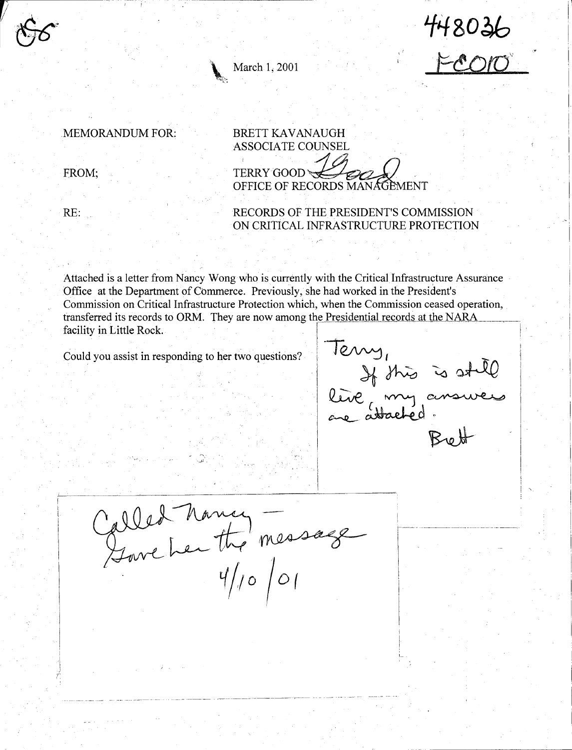

March 1, 2001

~~t,-~

MEMORANDUM FOR:

FROM;

RE:

BRETT KAVANAUGH ASSOCIATE COUNSEL  $TERRY$  GOOD OFFICE OF RECORDS MANAGEMENT

RECORDS OF THE PRESIDENT'S COMMISSION ON CRITICAL INFRASTRUCTURE PROTECTION

Attached is a letter from Nancy Wong who is currently with the Critical Infrastructure Assurance Office at the Department of Commerce. Previously, she had worked in the President's Commission on Critical Infrastructure Protection which, when the Commission ceased operation, transferred its records to ORM. They are now among the Presidential records at the NARA<br>facility in Little Rock. Transferred its records to ORM. They are now among the Presidential records at the NARA<br>facility in Little Rock.<br>Could you assist in responding to her two questions?<br> $\sqrt{2\pi}$ 

live, my answer leve my ans  $Beut$ 

L

448036

,,

 $\|U\| \leq \|U\|$ 

Called Nancy —<br>Genre Les the message

---- ------ ----------·· -----~--,.------ -- --- --- --- -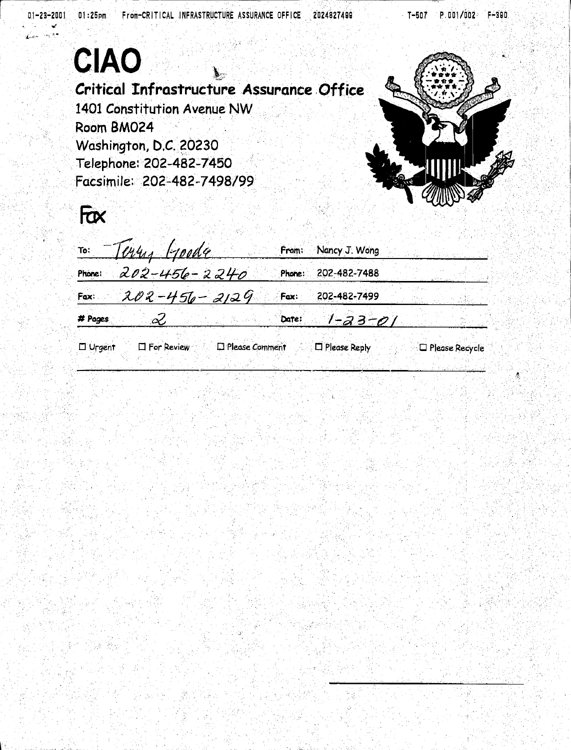|                          | Critical Infrastructure Assurance Office<br>1401 Constitution Avenue NW<br>Room BM024<br>Washington, D.C. 20230<br>Telephone: 202-482-7450<br>Facsimile: 202-482-7498/99 |                  |        |                                          |                          |
|--------------------------|--------------------------------------------------------------------------------------------------------------------------------------------------------------------------|------------------|--------|------------------------------------------|--------------------------|
| Fax                      |                                                                                                                                                                          |                  |        |                                          |                          |
| To:                      | Why<br>roode                                                                                                                                                             |                  | From:  | Nancy J. Wong                            |                          |
| Phone:                   | 202-456-2240                                                                                                                                                             |                  | Phone: | 202-482-7488                             |                          |
| Fax:                     | $202 - 456 - 2129$                                                                                                                                                       |                  | Fax:   | 202-482-7499                             |                          |
| # Pages<br>$\Box$ Urgent | Ŀ<br><b>I</b> For Review                                                                                                                                                 | D Please Comment | Date:  | <u>1-23-01</u><br>$\square$ Please Reply | D Please Recycle         |
|                          |                                                                                                                                                                          |                  |        |                                          |                          |
|                          |                                                                                                                                                                          |                  |        |                                          |                          |
|                          |                                                                                                                                                                          |                  |        |                                          | an taon 2001.<br>Ngjarje |
|                          |                                                                                                                                                                          |                  |        |                                          |                          |